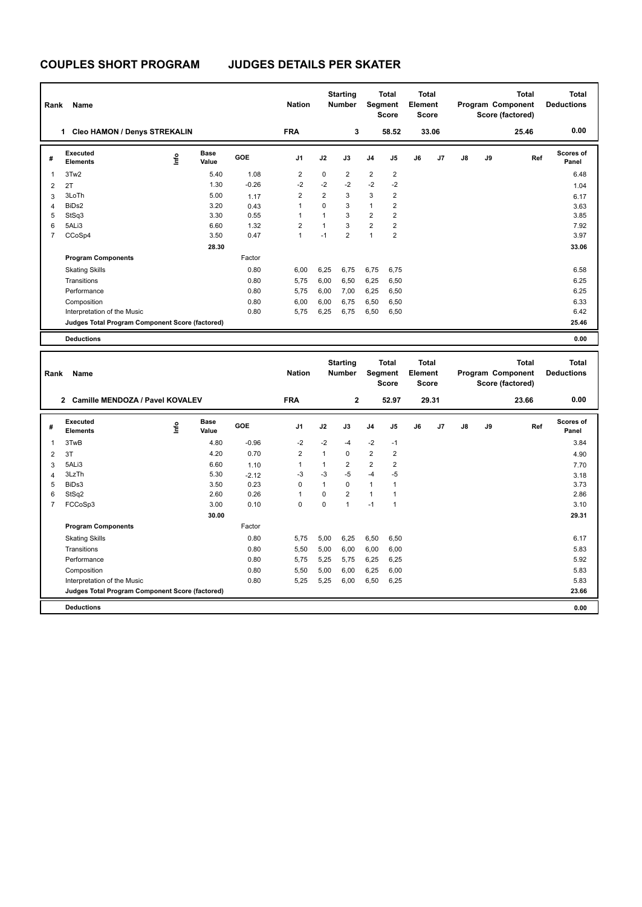## **COUPLES SHORT PROGRAM JUDGES DETAILS PER SKATER**

| Rank           | Name                                            |    |                      |         | <b>Nation</b>  |                | <b>Starting</b><br><b>Number</b> | Segment        | <b>Total</b><br><b>Score</b> | Total<br>Element<br><b>Score</b> |       |    |    | <b>Total</b><br>Program Component<br>Score (factored) | Total<br><b>Deductions</b> |
|----------------|-------------------------------------------------|----|----------------------|---------|----------------|----------------|----------------------------------|----------------|------------------------------|----------------------------------|-------|----|----|-------------------------------------------------------|----------------------------|
|                | <b>Cleo HAMON / Denys STREKALIN</b><br>1        |    |                      |         | <b>FRA</b>     |                | 3                                |                | 58.52                        |                                  | 33.06 |    |    | 25.46                                                 | 0.00                       |
| #              | Executed<br><b>Elements</b>                     | ۴ů | <b>Base</b><br>Value | GOE     | J <sub>1</sub> | J2             | J3                               | J <sub>4</sub> | J5                           | J6                               | J7    | J8 | J9 | Ref                                                   | Scores of<br>Panel         |
| 1              | 3Tw2                                            |    | 5.40                 | 1.08    | $\overline{2}$ | $\mathbf 0$    | $\overline{2}$                   | $\overline{c}$ | $\overline{\mathbf{c}}$      |                                  |       |    |    |                                                       | 6.48                       |
| $\overline{2}$ | 2T                                              |    | 1.30                 | $-0.26$ | $-2$           | $-2$           | $-2$                             | $-2$           | $-2$                         |                                  |       |    |    |                                                       | 1.04                       |
| 3              | 3LoTh                                           |    | 5.00                 | 1.17    | $\overline{2}$ | $\overline{2}$ | 3                                | 3              | 2                            |                                  |       |    |    |                                                       | 6.17                       |
| 4              | BiD <sub>s2</sub>                               |    | 3.20                 | 0.43    | $\overline{1}$ | $\Omega$       | 3                                | $\mathbf{1}$   | 2                            |                                  |       |    |    |                                                       | 3.63                       |
| 5              | StSq3                                           |    | 3.30                 | 0.55    | 1              | $\mathbf{1}$   | 3                                | $\overline{2}$ | 2                            |                                  |       |    |    |                                                       | 3.85                       |
| 6              | 5ALi3                                           |    | 6.60                 | 1.32    | $\overline{2}$ |                | 3                                | $\overline{2}$ | 2                            |                                  |       |    |    |                                                       | 7.92                       |
| $\overline{7}$ | CCoSp4                                          |    | 3.50                 | 0.47    | $\overline{1}$ | $-1$           | $\overline{2}$                   | $\overline{1}$ | $\overline{2}$               |                                  |       |    |    |                                                       | 3.97                       |
|                |                                                 |    | 28.30                |         |                |                |                                  |                |                              |                                  |       |    |    |                                                       | 33.06                      |
|                | <b>Program Components</b>                       |    |                      | Factor  |                |                |                                  |                |                              |                                  |       |    |    |                                                       |                            |
|                | <b>Skating Skills</b>                           |    |                      | 0.80    | 6.00           | 6.25           | 6,75                             | 6,75           | 6.75                         |                                  |       |    |    |                                                       | 6.58                       |
|                | Transitions                                     |    |                      | 0.80    | 5.75           | 6,00           | 6,50                             | 6,25           | 6,50                         |                                  |       |    |    |                                                       | 6.25                       |
|                | Performance                                     |    |                      | 0.80    | 5.75           | 6,00           | 7,00                             | 6,25           | 6,50                         |                                  |       |    |    |                                                       | 6.25                       |
|                | Composition                                     |    |                      | 0.80    | 6.00           | 6,00           | 6.75                             | 6,50           | 6,50                         |                                  |       |    |    |                                                       | 6.33                       |
|                | Interpretation of the Music                     |    |                      | 0.80    | 5,75           | 6,25           | 6,75                             | 6,50           | 6,50                         |                                  |       |    |    |                                                       | 6.42                       |
|                | Judges Total Program Component Score (factored) |    |                      |         |                |                |                                  |                |                              |                                  |       |    |    |                                                       | 25.46                      |
|                | <b>Deductions</b>                               |    |                      |         |                |                |                                  |                |                              |                                  |       |    |    |                                                       | 0.00                       |

| Rank           | <b>Name</b>                                       |      |                      |         | <b>Nation</b>  |      | <b>Starting</b><br><b>Number</b> | Segment        | <b>Total</b><br><b>Score</b> | <b>Total</b><br>Element<br><b>Score</b> |       |    |    | <b>Total</b><br>Program Component<br>Score (factored) | <b>Total</b><br><b>Deductions</b> |
|----------------|---------------------------------------------------|------|----------------------|---------|----------------|------|----------------------------------|----------------|------------------------------|-----------------------------------------|-------|----|----|-------------------------------------------------------|-----------------------------------|
|                | Camille MENDOZA / Pavel KOVALEV<br>$\overline{2}$ |      |                      |         | <b>FRA</b>     |      | $\mathbf{2}$                     |                | 52.97                        |                                         | 29.31 |    |    | 23.66                                                 | 0.00                              |
| #              | Executed<br><b>Elements</b>                       | Info | <b>Base</b><br>Value | GOE     | J <sub>1</sub> | J2   | J3                               | J <sub>4</sub> | J5                           | J6                                      | J7    | J8 | J9 | Ref                                                   | Scores of<br>Panel                |
|                | 3TwB                                              |      | 4.80                 | $-0.96$ | $-2$           | $-2$ | $-4$                             | $-2$           | $-1$                         |                                         |       |    |    |                                                       | 3.84                              |
| 2              | 3T                                                |      | 4.20                 | 0.70    | $\overline{2}$ | 1    | 0                                | $\overline{2}$ | $\overline{2}$               |                                         |       |    |    |                                                       | 4.90                              |
| 3              | 5ALi3                                             |      | 6.60                 | 1.10    |                | 1    | $\overline{2}$                   | $\overline{2}$ | $\overline{2}$               |                                         |       |    |    |                                                       | 7.70                              |
| 4              | 3LzTh                                             |      | 5.30                 | $-2.12$ | $-3$           | $-3$ | $-5$                             | $-4$           | $-5$                         |                                         |       |    |    |                                                       | 3.18                              |
| 5              | BiDs3                                             |      | 3.50                 | 0.23    | $\Omega$       | 1    | $\Omega$                         | $\mathbf{1}$   |                              |                                         |       |    |    |                                                       | 3.73                              |
| 6              | StSq2                                             |      | 2.60                 | 0.26    | $\mathbf{1}$   | 0    | $\overline{2}$                   | 1              |                              |                                         |       |    |    |                                                       | 2.86                              |
| $\overline{7}$ | FCCoSp3                                           |      | 3.00                 | 0.10    | $\mathbf 0$    | 0    | $\overline{1}$                   | $-1$           | $\overline{1}$               |                                         |       |    |    |                                                       | 3.10                              |
|                |                                                   |      | 30.00                |         |                |      |                                  |                |                              |                                         |       |    |    |                                                       | 29.31                             |
|                | <b>Program Components</b>                         |      |                      | Factor  |                |      |                                  |                |                              |                                         |       |    |    |                                                       |                                   |
|                | <b>Skating Skills</b>                             |      |                      | 0.80    | 5,75           | 5,00 | 6,25                             | 6,50           | 6,50                         |                                         |       |    |    |                                                       | 6.17                              |
|                | Transitions                                       |      |                      | 0.80    | 5,50           | 5,00 | 6,00                             | 6,00           | 6,00                         |                                         |       |    |    |                                                       | 5.83                              |
|                | Performance                                       |      |                      | 0.80    | 5,75           | 5,25 | 5,75                             | 6,25           | 6,25                         |                                         |       |    |    |                                                       | 5.92                              |
|                | Composition                                       |      |                      | 0.80    | 5,50           | 5,00 | 6,00                             | 6,25           | 6,00                         |                                         |       |    |    |                                                       | 5.83                              |
|                | Interpretation of the Music                       |      |                      | 0.80    | 5.25           | 5,25 | 6,00                             | 6,50           | 6,25                         |                                         |       |    |    |                                                       | 5.83                              |
|                | Judges Total Program Component Score (factored)   |      |                      |         |                |      |                                  |                |                              |                                         |       |    |    |                                                       | 23.66                             |
|                | <b>Deductions</b>                                 |      |                      |         |                |      |                                  |                |                              |                                         |       |    |    |                                                       | 0.00                              |